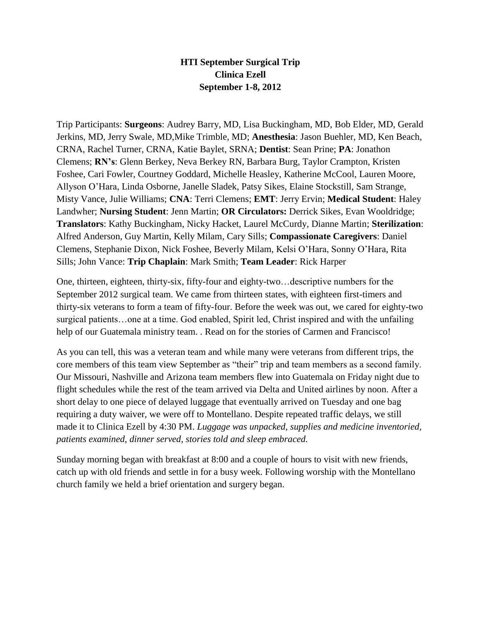## **HTI September Surgical Trip Clinica Ezell September 1-8, 2012**

Trip Participants: **Surgeons**: Audrey Barry, MD, Lisa Buckingham, MD, Bob Elder, MD, Gerald Jerkins, MD, Jerry Swale, MD,Mike Trimble, MD; **Anesthesia**: Jason Buehler, MD, Ken Beach, CRNA, Rachel Turner, CRNA, Katie Baylet, SRNA; **Dentist**: Sean Prine; **PA**: Jonathon Clemens; **RN's**: Glenn Berkey, Neva Berkey RN, Barbara Burg, Taylor Crampton, Kristen Foshee, Cari Fowler, Courtney Goddard, Michelle Heasley, Katherine McCool, Lauren Moore, Allyson O'Hara, Linda Osborne, Janelle Sladek, Patsy Sikes, Elaine Stockstill, Sam Strange, Misty Vance, Julie Williams; **CNA**: Terri Clemens; **EMT**: Jerry Ervin; **Medical Student**: Haley Landwher; **Nursing Student**: Jenn Martin; **OR Circulators:** Derrick Sikes, Evan Wooldridge; **Translators**: Kathy Buckingham, Nicky Hacket, Laurel McCurdy, Dianne Martin; **Sterilization**: Alfred Anderson, Guy Martin, Kelly Milam, Cary Sills; **Compassionate Caregivers**: Daniel Clemens, Stephanie Dixon, Nick Foshee, Beverly Milam, Kelsi O'Hara, Sonny O'Hara, Rita Sills; John Vance: **Trip Chaplain**: Mark Smith; **Team Leader**: Rick Harper

One, thirteen, eighteen, thirty-six, fifty-four and eighty-two…descriptive numbers for the September 2012 surgical team. We came from thirteen states, with eighteen first-timers and thirty-six veterans to form a team of fifty-four. Before the week was out, we cared for eighty-two surgical patients…one at a time. God enabled, Spirit led, Christ inspired and with the unfailing help of our Guatemala ministry team. . Read on for the stories of Carmen and Francisco!

As you can tell, this was a veteran team and while many were veterans from different trips, the core members of this team view September as "their" trip and team members as a second family. Our Missouri, Nashville and Arizona team members flew into Guatemala on Friday night due to flight schedules while the rest of the team arrived via Delta and United airlines by noon. After a short delay to one piece of delayed luggage that eventually arrived on Tuesday and one bag requiring a duty waiver, we were off to Montellano. Despite repeated traffic delays, we still made it to Clinica Ezell by 4:30 PM. *Luggage was unpacked, supplies and medicine inventoried, patients examined, dinner served, stories told and sleep embraced.*

Sunday morning began with breakfast at 8:00 and a couple of hours to visit with new friends, catch up with old friends and settle in for a busy week. Following worship with the Montellano church family we held a brief orientation and surgery began.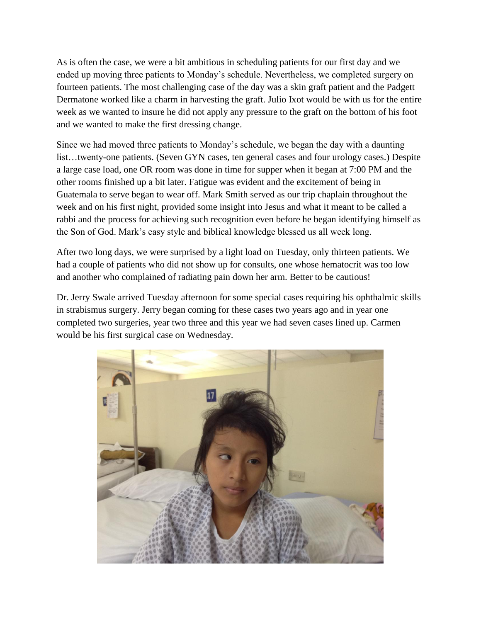As is often the case, we were a bit ambitious in scheduling patients for our first day and we ended up moving three patients to Monday's schedule. Nevertheless, we completed surgery on fourteen patients. The most challenging case of the day was a skin graft patient and the Padgett Dermatone worked like a charm in harvesting the graft. Julio Ixot would be with us for the entire week as we wanted to insure he did not apply any pressure to the graft on the bottom of his foot and we wanted to make the first dressing change.

Since we had moved three patients to Monday's schedule, we began the day with a daunting list…twenty-one patients. (Seven GYN cases, ten general cases and four urology cases.) Despite a large case load, one OR room was done in time for supper when it began at 7:00 PM and the other rooms finished up a bit later. Fatigue was evident and the excitement of being in Guatemala to serve began to wear off. Mark Smith served as our trip chaplain throughout the week and on his first night, provided some insight into Jesus and what it meant to be called a rabbi and the process for achieving such recognition even before he began identifying himself as the Son of God. Mark's easy style and biblical knowledge blessed us all week long.

After two long days, we were surprised by a light load on Tuesday, only thirteen patients. We had a couple of patients who did not show up for consults, one whose hematocrit was too low and another who complained of radiating pain down her arm. Better to be cautious!

Dr. Jerry Swale arrived Tuesday afternoon for some special cases requiring his ophthalmic skills in strabismus surgery. Jerry began coming for these cases two years ago and in year one completed two surgeries, year two three and this year we had seven cases lined up. Carmen would be his first surgical case on Wednesday.

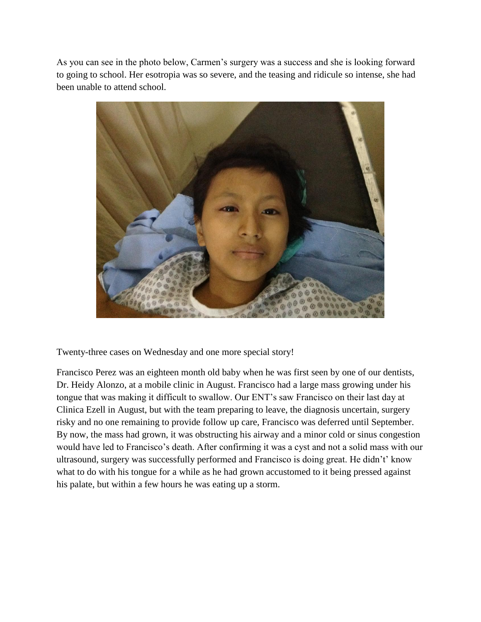As you can see in the photo below, Carmen's surgery was a success and she is looking forward to going to school. Her esotropia was so severe, and the teasing and ridicule so intense, she had been unable to attend school.



Twenty-three cases on Wednesday and one more special story!

Francisco Perez was an eighteen month old baby when he was first seen by one of our dentists, Dr. Heidy Alonzo, at a mobile clinic in August. Francisco had a large mass growing under his tongue that was making it difficult to swallow. Our ENT's saw Francisco on their last day at Clinica Ezell in August, but with the team preparing to leave, the diagnosis uncertain, surgery risky and no one remaining to provide follow up care, Francisco was deferred until September. By now, the mass had grown, it was obstructing his airway and a minor cold or sinus congestion would have led to Francisco's death. After confirming it was a cyst and not a solid mass with our ultrasound, surgery was successfully performed and Francisco is doing great. He didn't' know what to do with his tongue for a while as he had grown accustomed to it being pressed against his palate, but within a few hours he was eating up a storm.